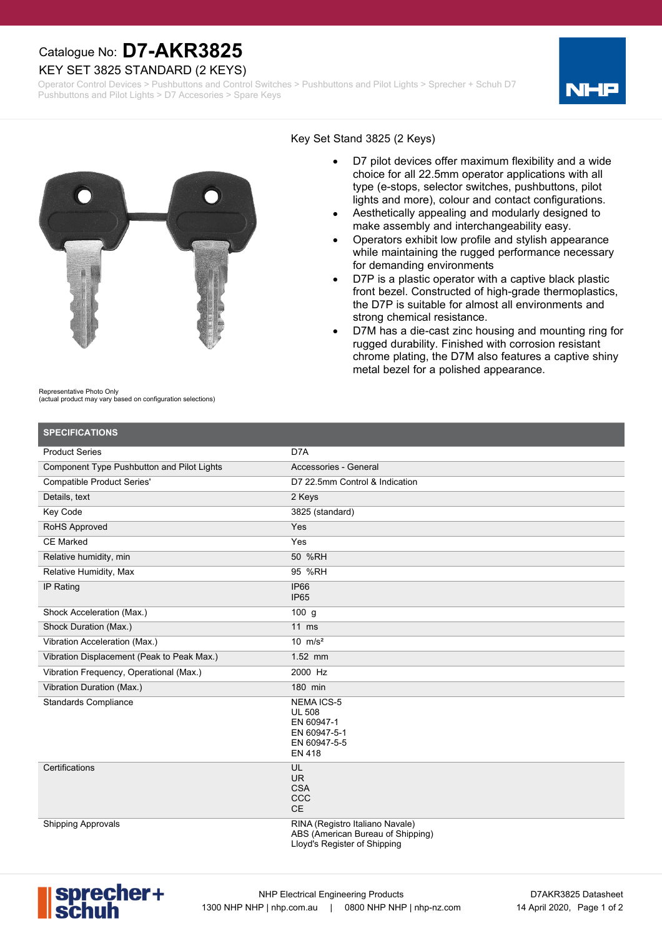## Catalogue No: **D7-AKR3825**

### KEY SET 3825 STANDARD (2 KEYS)

Operator Control Devices > Pushbuttons and Control Switches > Pushbuttons and Pilot Lights > Sprecher + Schuh D7 Pushbuttons and Pilot Lights > D7 Accesories > Spare Keys





#### Key Set Stand 3825 (2 Keys)

- D7 pilot devices offer maximum flexibility and a wide choice for all 22.5mm operator applications with all type (e-stops, selector switches, pushbuttons, pilot lights and more), colour and contact configurations.
- Aesthetically appealing and modularly designed to make assembly and interchangeability easy.
- Operators exhibit low profile and stylish appearance while maintaining the rugged performance necessary for demanding environments
- D7P is a plastic operator with a captive black plastic front bezel. Constructed of high-grade thermoplastics, the D7P is suitable for almost all environments and strong chemical resistance.
- D7M has a die-cast zinc housing and mounting ring for rugged durability. Finished with corrosion resistant chrome plating, the D7M also features a captive shiny metal bezel for a polished appearance.

| Representative Photo Only |  |
|---------------------------|--|
| .                         |  |

Representative Photo Only (actual product may vary based on configuration selections)

| <b>SPECIFICATIONS</b>                      |                                                                                                      |
|--------------------------------------------|------------------------------------------------------------------------------------------------------|
| <b>Product Series</b>                      | D7A                                                                                                  |
| Component Type Pushbutton and Pilot Lights | Accessories - General                                                                                |
| <b>Compatible Product Series'</b>          | D7 22.5mm Control & Indication                                                                       |
| Details, text                              | 2 Keys                                                                                               |
| Key Code                                   | 3825 (standard)                                                                                      |
| <b>RoHS Approved</b>                       | Yes                                                                                                  |
| <b>CE Marked</b>                           | Yes                                                                                                  |
| Relative humidity, min                     | 50 %RH                                                                                               |
| Relative Humidity, Max                     | 95 %RH                                                                                               |
| IP Rating                                  | <b>IP66</b><br>IP <sub>65</sub>                                                                      |
| Shock Acceleration (Max.)                  | 100 <sub>g</sub>                                                                                     |
| Shock Duration (Max.)                      | $11$ ms                                                                                              |
| Vibration Acceleration (Max.)              | 10 $m/s^2$                                                                                           |
| Vibration Displacement (Peak to Peak Max.) | 1.52 mm                                                                                              |
| Vibration Frequency, Operational (Max.)    | 2000 Hz                                                                                              |
| Vibration Duration (Max.)                  | 180 min                                                                                              |
| <b>Standards Compliance</b>                | <b>NEMAICS-5</b><br><b>UL 508</b><br>EN 60947-1<br>EN 60947-5-1<br>EN 60947-5-5<br><b>EN 418</b>     |
| Certifications                             | UL<br>UR.<br><b>CSA</b><br>CCC<br>$\mathsf{CE}$                                                      |
| <b>Shipping Approvals</b>                  | RINA (Registro Italiano Navale)<br>ABS (American Bureau of Shipping)<br>Lloyd's Register of Shipping |